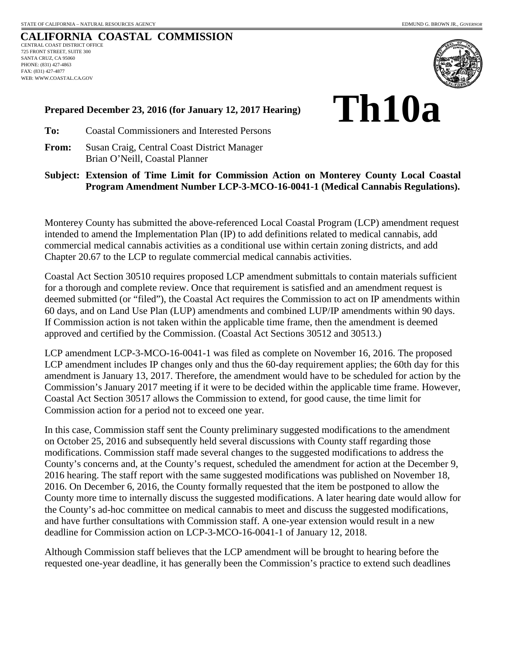## **CALIFORNIA COASTAL COMMISSION** CENTRAL COAST DISTRICT OFFICE 725 FRONT STREET, SUITE 300 SANTA CRUZ, CA 95060 PHONE: (831) 427-4863 FAX: (831) 427-4877 WEB: WWW.COASTAL.CA.GOV



## **Prepared December 23, 2016 (for January 12, 2017 Hearing)**

**Th10a**

**To:** Coastal Commissioners and Interested Persons

**From:** Susan Craig, Central Coast District Manager Brian O'Neill, Coastal Planner

**Subject: Extension of Time Limit for Commission Action on Monterey County Local Coastal Program Amendment Number LCP-3-MCO-16-0041-1 (Medical Cannabis Regulations).** 

Monterey County has submitted the above-referenced Local Coastal Program (LCP) amendment request intended to amend the Implementation Plan (IP) to add definitions related to medical cannabis, add commercial medical cannabis activities as a conditional use within certain zoning districts, and add Chapter 20.67 to the LCP to regulate commercial medical cannabis activities.

Coastal Act Section 30510 requires proposed LCP amendment submittals to contain materials sufficient for a thorough and complete review. Once that requirement is satisfied and an amendment request is deemed submitted (or "filed"), the Coastal Act requires the Commission to act on IP amendments within 60 days, and on Land Use Plan (LUP) amendments and combined LUP/IP amendments within 90 days. If Commission action is not taken within the applicable time frame, then the amendment is deemed approved and certified by the Commission. (Coastal Act Sections 30512 and 30513.)

LCP amendment LCP-3-MCO-16-0041-1 was filed as complete on November 16, 2016. The proposed LCP amendment includes IP changes only and thus the 60-day requirement applies; the 60th day for this amendment is January 13, 2017. Therefore, the amendment would have to be scheduled for action by the Commission's January 2017 meeting if it were to be decided within the applicable time frame. However, Coastal Act Section 30517 allows the Commission to extend, for good cause, the time limit for Commission action for a period not to exceed one year.

In this case, Commission staff sent the County preliminary suggested modifications to the amendment on October 25, 2016 and subsequently held several discussions with County staff regarding those modifications. Commission staff made several changes to the suggested modifications to address the County's concerns and, at the County's request, scheduled the amendment for action at the December 9, 2016 hearing. The staff report with the same suggested modifications was published on November 18, 2016. On December 6, 2016, the County formally requested that the item be postponed to allow the County more time to internally discuss the suggested modifications. A later hearing date would allow for the County's ad-hoc committee on medical cannabis to meet and discuss the suggested modifications, and have further consultations with Commission staff. A one-year extension would result in a new deadline for Commission action on LCP-3-MCO-16-0041-1 of January 12, 2018.

Although Commission staff believes that the LCP amendment will be brought to hearing before the requested one-year deadline, it has generally been the Commission's practice to extend such deadlines